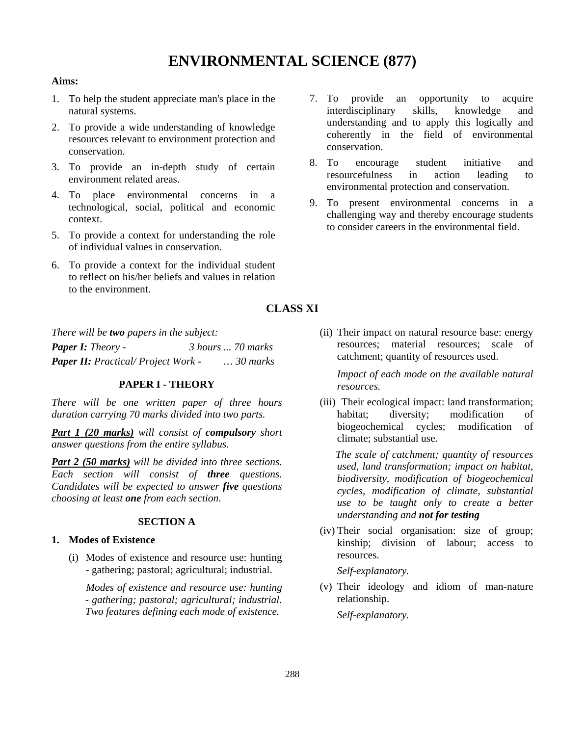# **ENVIRONMENTAL SCIENCE (877)**

#### **Aims:**

- 1. To help the student appreciate man's place in the natural systems.
- 2. To provide a wide understanding of knowledge resources relevant to environment protection and conservation.
- 3. To provide an in-depth study of certain environment related areas.
- 4. To place environmental concerns in a technological, social, political and economic context.
- 5. To provide a context for understanding the role of individual values in conservation.
- 6. To provide a context for the individual student to reflect on his/her beliefs and values in relation to the environment.

# **CLASS XI**

*There will be two papers in the subject:*

| <b>Paper I:</b> Theory -                   | 3 hours  70 marks |                   |
|--------------------------------------------|-------------------|-------------------|
| <b>Paper II:</b> Practical/ Project Work - |                   | $\ldots 30$ marks |

#### **PAPER I - THEORY**

*There will be one written paper of three hours duration carrying 70 marks divided into two parts.*

*Part 1 (20 marks) will consist of compulsory short answer questions from the entire syllabus.*

*Part 2 (50 marks) will be divided into three sections. Each section will consist of three questions. Candidates will be expected to answer five questions choosing at least one from each section*.

#### **SECTION A**

#### **1. Modes of Existence**

(i) Modes of existence and resource use: hunting - gathering; pastoral; agricultural; industrial.

*Modes of existence and resource use: hunting - gathering; pastoral; agricultural; industrial. Two features defining each mode of existence.*

- 7. To provide an opportunity to acquire interdisciplinary skills, knowledge and understanding and to apply this logically and coherently in the field of environmental conservation.
- 8. To encourage student initiative and resourcefulness in action leading to environmental protection and conservation.
- 9. To present environmental concerns in a challenging way and thereby encourage students to consider careers in the environmental field.

(ii) Their impact on natural resource base: energy resources; material resources; scale of catchment; quantity of resources used.

*Impact of each mode on the available natural resources.*

(iii) Their ecological impact: land transformation; habitat: diversity: modification of biogeochemical cycles; modification of climate; substantial use.

 *The scale of catchment; quantity of resources used, land transformation; impact on habitat, biodiversity, modification of biogeochemical cycles, modification of climate, substantial use to be taught only to create a better understanding and not for testing*

(iv) Their social organisation: size of group; kinship; division of labour; access to resources.

*Self-explanatory.*

(v) Their ideology and idiom of man-nature relationship.

*Self-explanatory.*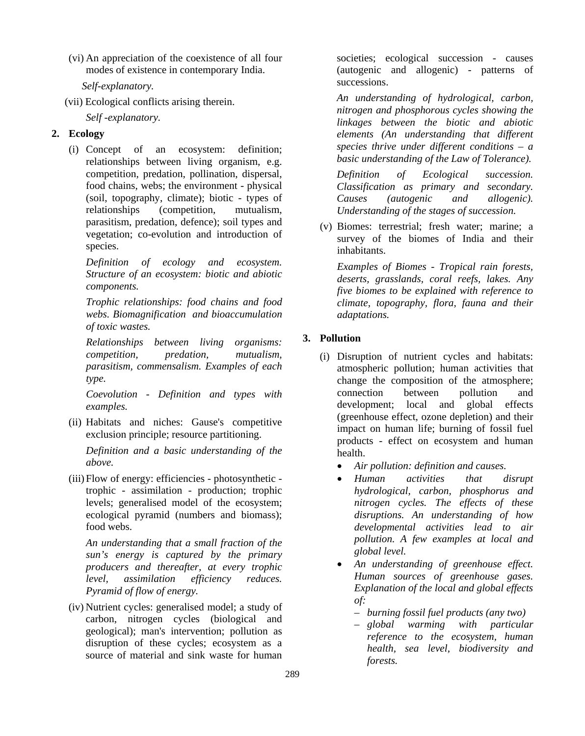(vi) An appreciation of the coexistence of all four modes of existence in contemporary India.

 *Self-explanatory.*

(vii) Ecological conflicts arising therein.

*Self -explanatory.*

# **2. Ecology**

(i) Concept of an ecosystem: definition; relationships between living organism, e.g. competition, predation, pollination, dispersal, food chains, webs; the environment - physical (soil, topography, climate); biotic - types of<br>relationships (competition. mutualism. (competition, mutualism, parasitism, predation, defence); soil types and vegetation; co-evolution and introduction of species.

*Definition of ecology and ecosystem. Structure of an ecosystem: biotic and abiotic components.* 

*Trophic relationships: food chains and food webs. Biomagnification and bioaccumulation of toxic wastes.*

*Relationships between living organisms: competition, predation, mutualism, parasitism, commensalism. Examples of each type.*

*Coevolution - Definition and types with examples.*

(ii) Habitats and niches: Gause's competitive exclusion principle; resource partitioning.

*Definition and a basic understanding of the above.*

(iii) Flow of energy: efficiencies - photosynthetic trophic - assimilation - production; trophic levels; generalised model of the ecosystem; ecological pyramid (numbers and biomass); food webs.

*An understanding that a small fraction of the sun's energy is captured by the primary producers and thereafter, at every trophic level, assimilation efficiency reduces. Pyramid of flow of energy.*

(iv) Nutrient cycles: generalised model; a study of carbon, nitrogen cycles (biological and geological); man's intervention; pollution as disruption of these cycles; ecosystem as a source of material and sink waste for human

societies; ecological succession - causes (autogenic and allogenic) - patterns of successions.

*An understanding of hydrological, carbon, nitrogen and phosphorous cycles showing the linkages between the biotic and abiotic elements (An understanding that different species thrive under different conditions – a basic understanding of the Law of Tolerance).*

*Definition of Ecological succession. Classification as primary and secondary. Causes (autogenic and allogenic). Understanding of the stages of succession.*

(v) Biomes: terrestrial; fresh water; marine; a survey of the biomes of India and their inhabitants.

*Examples of Biomes - Tropical rain forests, deserts, grasslands, coral reefs, lakes. Any five biomes to be explained with reference to climate, topography, flora, fauna and their adaptations.*

# **3. Pollution**

- (i) Disruption of nutrient cycles and habitats: atmospheric pollution; human activities that change the composition of the atmosphere; connection between pollution and development; local and global effects (greenhouse effect, ozone depletion) and their impact on human life; burning of fossil fuel products - effect on ecosystem and human health.
	- *Air pollution: definition and causes.*
	- *Human activities that disrupt hydrological, carbon, phosphorus and nitrogen cycles. The effects of these disruptions. An understanding of how developmental activities lead to air pollution. A few examples at local and global level.*
	- *An understanding of greenhouse effect. Human sources of greenhouse gases. Explanation of the local and global effects of:* 
		- *burning fossil fuel products (any two)*
		- *global warming with particular reference to the ecosystem, human health, sea level, biodiversity and forests.*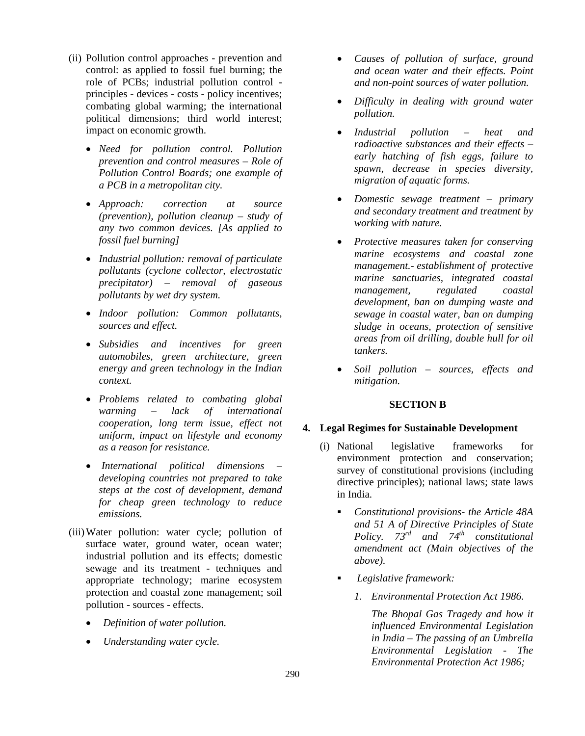- (ii) Pollution control approaches prevention and control: as applied to fossil fuel burning; the role of PCBs; industrial pollution control principles - devices - costs - policy incentives; combating global warming; the international political dimensions; third world interest; impact on economic growth.
	- *Need for pollution control. Pollution prevention and control measures – Role of Pollution Control Boards; one example of a PCB in a metropolitan city.*
	- *Approach: correction at source (prevention), pollution cleanup – study of any two common devices. [As applied to fossil fuel burning]*
	- *Industrial pollution: removal of particulate pollutants (cyclone collector, electrostatic precipitator) – removal of gaseous pollutants by wet dry system.*
	- *Indoor pollution: Common pollutants, sources and effect.*
	- *Subsidies and incentives for green automobiles, green architecture, green energy and green technology in the Indian context.*
	- *Problems related to combating global warming – lack of international cooperation, long term issue, effect not uniform, impact on lifestyle and economy as a reason for resistance.*
	- *International political dimensions – developing countries not prepared to take steps at the cost of development, demand for cheap green technology to reduce emissions.*
- (iii)Water pollution: water cycle; pollution of surface water, ground water, ocean water; industrial pollution and its effects; domestic sewage and its treatment - techniques and appropriate technology; marine ecosystem protection and coastal zone management; soil pollution - sources - effects.
	- *Definition of water pollution.*
	- *Understanding water cycle.*
- *Causes of pollution of surface, ground and ocean water and their effects. Point and non-point sources of water pollution.*
- *Difficulty in dealing with ground water pollution.*
- *Industrial pollution – heat and radioactive substances and their effects – early hatching of fish eggs, failure to spawn, decrease in species diversity, migration of aquatic forms.*
- *Domestic sewage treatment – primary and secondary treatment and treatment by working with nature.*
- *Protective measures taken for conserving marine ecosystems and coastal zone management.- establishment of protective marine sanctuaries, integrated coastal management, regulated coastal development, ban on dumping waste and sewage in coastal water, ban on dumping sludge in oceans, protection of sensitive areas from oil drilling, double hull for oil tankers.*
- *Soil pollution – sources, effects and mitigation.*

#### **SECTION B**

#### **4. Legal Regimes for Sustainable Development**

- (i) National legislative frameworks for environment protection and conservation; survey of constitutional provisions (including directive principles); national laws; state laws in India.
	- *Constitutional provisions- the Article 48A and 51 A of Directive Principles of State Policy. 73rd and 74th constitutional amendment act (Main objectives of the above).*
	- *Legislative framework:*
		- *1. Environmental Protection Act 1986.*

*The Bhopal Gas Tragedy and how it influenced Environmental Legislation in India – The passing of an Umbrella Environmental Legislation - The Environmental Protection Act 1986;*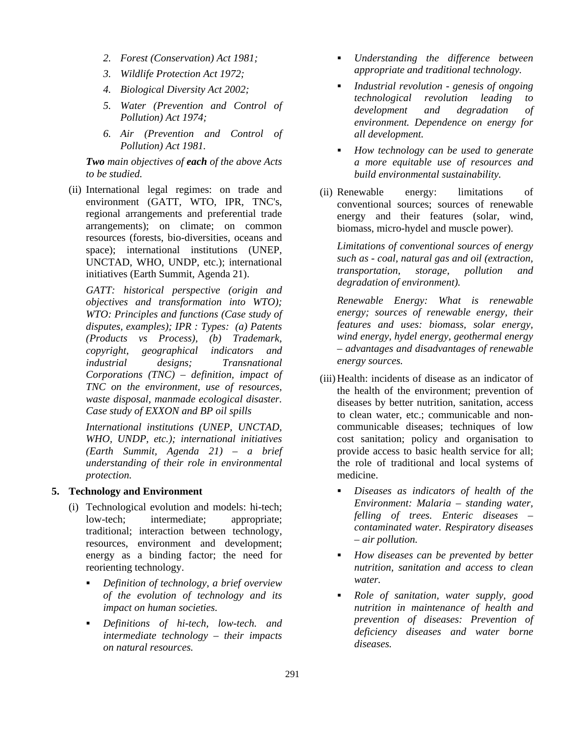- *2. Forest (Conservation) Act 1981;*
- *3. Wildlife Protection Act 1972;*
- *4. Biological Diversity Act 2002;*
- *5. Water (Prevention and Control of Pollution) Act 1974;*
- *6. Air (Prevention and Control of Pollution) Act 1981.*

#### *Two main objectives of each of the above Acts to be studied.*

(ii) International legal regimes: on trade and environment (GATT, WTO, IPR, TNC's, regional arrangements and preferential trade arrangements); on climate; on common resources (forests, bio-diversities, oceans and space); international institutions (UNEP, UNCTAD, WHO, UNDP, etc.); international initiatives (Earth Summit, Agenda 21).

*GATT: historical perspective (origin and objectives and transformation into WTO); WTO: Principles and functions (Case study of disputes, examples); IPR : Types: (a) Patents (Products vs Process), (b) Trademark, copyright, geographical indicators and industrial designs; Transnational Corporations (TNC) – definition, impact of TNC on the environment, use of resources, waste disposal, manmade ecological disaster. Case study of EXXON and BP oil spills*

*International institutions (UNEP, UNCTAD, WHO, UNDP, etc.); international initiatives (Earth Summit, Agenda 21) – a brief understanding of their role in environmental protection.*

#### **5. Technology and Environment**

- (i) Technological evolution and models: hi-tech; low-tech; intermediate; appropriate; traditional; interaction between technology, resources, environment and development; energy as a binding factor; the need for reorienting technology.
	- *Definition of technology, a brief overview of the evolution of technology and its impact on human societies.*
	- *Definitions of hi-tech, low-tech. and intermediate technology – their impacts on natural resources.*
- *Understanding the difference between appropriate and traditional technology.*
- *Industrial revolution - genesis of ongoing technological revolution leading to development and degradation of environment. Dependence on energy for all development.*
- *How technology can be used to generate a more equitable use of resources and build environmental sustainability.*
- (ii) Renewable energy: limitations of conventional sources; sources of renewable energy and their features (solar, wind, biomass, micro-hydel and muscle power).

*Limitations of conventional sources of energy such as - coal, natural gas and oil (extraction, transportation, storage, pollution and degradation of environment).* 

*Renewable Energy: What is renewable energy; sources of renewable energy, their features and uses: biomass, solar energy, wind energy, hydel energy, geothermal energy – advantages and disadvantages of renewable energy sources.*

- (iii) Health: incidents of disease as an indicator of the health of the environment; prevention of diseases by better nutrition, sanitation, access to clean water, etc.; communicable and noncommunicable diseases; techniques of low cost sanitation; policy and organisation to provide access to basic health service for all; the role of traditional and local systems of medicine.
	- *Diseases as indicators of health of the Environment: Malaria – standing water, felling of trees. Enteric diseases – contaminated water. Respiratory diseases – air pollution.*
	- *How diseases can be prevented by better nutrition, sanitation and access to clean water.*
	- *Role of sanitation, water supply, good nutrition in maintenance of health and prevention of diseases: Prevention of deficiency diseases and water borne diseases.*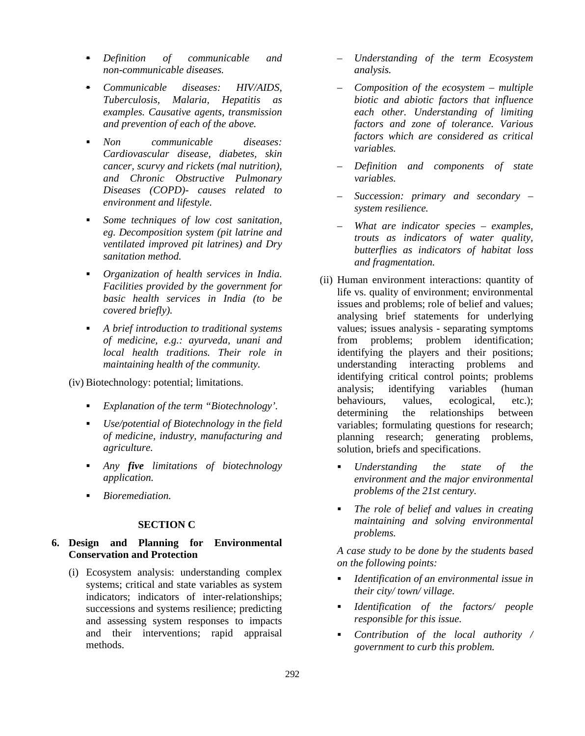- *Definition of communicable and non-communicable diseases.*
- *Communicable diseases: HIV/AIDS, Tuberculosis, Malaria, Hepatitis as examples. Causative agents, transmission and prevention of each of the above.*
- *Non communicable diseases: Cardiovascular disease, diabetes, skin cancer, scurvy and rickets (mal nutrition), and Chronic Obstructive Pulmonary Diseases (COPD)- causes related to environment and lifestyle.*
- *Some techniques of low cost sanitation, eg. Decomposition system (pit latrine and ventilated improved pit latrines) and Dry sanitation method.*
- *Organization of health services in India. Facilities provided by the government for basic health services in India (to be covered briefly).*
- *A brief introduction to traditional systems of medicine, e.g.: ayurveda, unani and local health traditions. Their role in maintaining health of the community.*

(iv) Biotechnology: potential; limitations.

- *Explanation of the term "Biotechnology'.*
- *Use/potential of Biotechnology in the field of medicine, industry, manufacturing and agriculture.*
- *Any five limitations of biotechnology application.*
- *Bioremediation.*

#### **SECTION C**

## **6. Design and Planning for Environmental Conservation and Protection**

(i) Ecosystem analysis: understanding complex systems; critical and state variables as system indicators; indicators of inter-relationships; successions and systems resilience; predicting and assessing system responses to impacts and their interventions; rapid appraisal methods.

- *Understanding of the term Ecosystem analysis.*
- *Composition of the ecosystem – multiple biotic and abiotic factors that influence each other. Understanding of limiting factors and zone of tolerance. Various factors which are considered as critical variables.*
- *Definition and components of state variables.*
- *Succession: primary and secondary – system resilience.*
- *What are indicator species – examples, trouts as indicators of water quality, butterflies as indicators of habitat loss and fragmentation.*
- (ii) Human environment interactions: quantity of life vs. quality of environment; environmental issues and problems; role of belief and values; analysing brief statements for underlying values; issues analysis - separating symptoms from problems; problem identification; identifying the players and their positions; understanding interacting problems and identifying critical control points; problems analysis; identifying variables (human behaviours, values, ecological, etc.); determining the relationships between variables; formulating questions for research; planning research; generating problems, solution, briefs and specifications.
	- *Understanding the state of the environment and the major environmental problems of the 21st century.*
	- *The role of belief and values in creating maintaining and solving environmental problems.*

*A case study to be done by the students based on the following points:*

- *Identification of an environmental issue in their city/ town/ village.*
- *Identification of the factors/ people responsible for this issue.*
- *Contribution of the local authority / government to curb this problem.*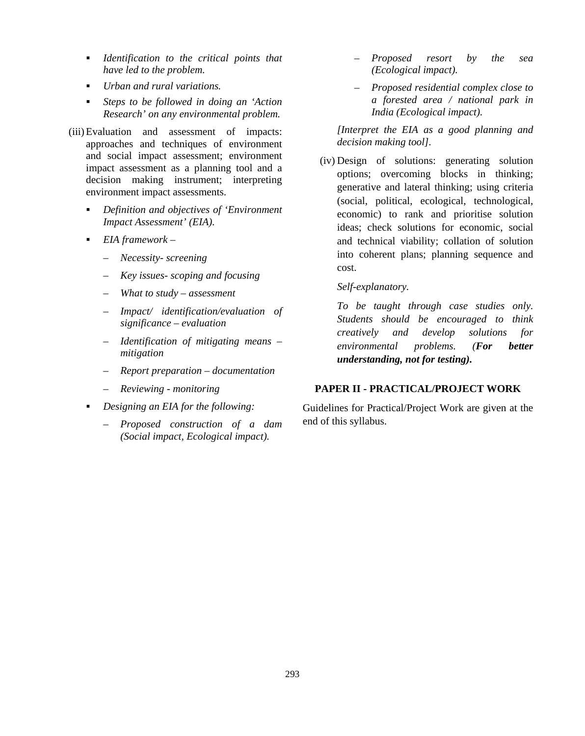- *Identification to the critical points that have led to the problem.*
- *Urban and rural variations.*
- *Steps to be followed in doing an 'Action Research' on any environmental problem.*
- (iii)Evaluation and assessment of impacts: approaches and techniques of environment and social impact assessment; environment impact assessment as a planning tool and a decision making instrument; interpreting environment impact assessments.
	- *Definition and objectives of 'Environment Impact Assessment' (EIA).*
	- *EIA framework –*
		- *Necessity- screening*
		- *Key issues- scoping and focusing*
		- *What to study – assessment*
		- *Impact/ identification/evaluation of significance – evaluation*
		- *Identification of mitigating means – mitigation*
		- *Report preparation – documentation*
		- *Reviewing - monitoring*
	- *Designing an EIA for the following:*
		- *Proposed construction of a dam (Social impact, Ecological impact).*
- *Proposed resort by the sea (Ecological impact).*
- *Proposed residential complex close to a forested area / national park in India (Ecological impact).*

*[Interpret the EIA as a good planning and decision making tool].*

- (iv) Design of solutions: generating solution options; overcoming blocks in thinking; generative and lateral thinking; using criteria (social, political, ecological, technological, economic) to rank and prioritise solution ideas; check solutions for economic, social and technical viability; collation of solution into coherent plans; planning sequence and cost.
	- *Self-explanatory.*

*To be taught through case studies only. Students should be encouraged to think creatively and develop solutions for environmental problems. (For better understanding, not for testing).*

#### **PAPER II - PRACTICAL/PROJECT WORK**

Guidelines for Practical/Project Work are given at the end of this syllabus.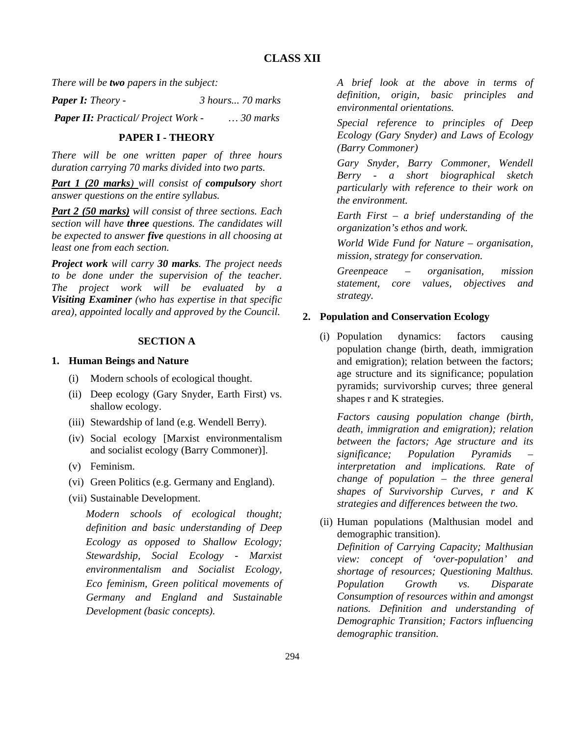*There will be two papers in the subject:*

*Paper I: Theory - 3 hours... 70 marks*

*Paper II: Practical/ Project Work - … 30 marks*

#### **PAPER I - THEORY**

*There will be one written paper of three hours duration carrying 70 marks divided into two parts.*

*Part 1 (20 marks) will consist of compulsory short answer questions on the entire syllabus.*

*Part 2 (50 marks) will consist of three sections. Each section will have three questions. The candidates will be expected to answer five questions in all choosing at least one from each section.*

*Project work will carry 30 marks. The project needs to be done under the supervision of the teacher. The project work will be evaluated by a Visiting Examiner (who has expertise in that specific area), appointed locally and approved by the Council.*

#### **SECTION A**

#### **1. Human Beings and Nature**

- (i) Modern schools of ecological thought.
- (ii) Deep ecology (Gary Snyder, Earth First) vs. shallow ecology.
- (iii) Stewardship of land (e.g. Wendell Berry).
- (iv) Social ecology [Marxist environmentalism and socialist ecology (Barry Commoner)].
- (v) Feminism.
- (vi) Green Politics (e.g. Germany and England).
- (vii) Sustainable Development.

*Modern schools of ecological thought; definition and basic understanding of Deep Ecology as opposed to Shallow Ecology; Stewardship, Social Ecology - Marxist environmentalism and Socialist Ecology, Eco feminism, Green political movements of Germany and England and Sustainable Development (basic concepts).*

*A brief look at the above in terms of definition, origin, basic principles and environmental orientations.*

*Special reference to principles of Deep Ecology (Gary Snyder) and Laws of Ecology (Barry Commoner)*

*Gary Snyder, Barry Commoner, Wendell Berry - a short biographical sketch particularly with reference to their work on the environment.*

*Earth First – a brief understanding of the organization's ethos and work.*

*World Wide Fund for Nature – organisation, mission, strategy for conservation.*

*Greenpeace – organisation, mission statement, core values, objectives and strategy.*

#### **2. Population and Conservation Ecology**

(i) Population dynamics: factors causing population change (birth, death, immigration and emigration); relation between the factors; age structure and its significance; population pyramids; survivorship curves; three general shapes r and K strategies.

*Factors causing population change (birth, death, immigration and emigration); relation between the factors; Age structure and its significance; Population Pyramids – interpretation and implications. Rate of change of population – the three general shapes of Survivorship Curves, r and K strategies and differences between the two.* 

(ii) Human populations (Malthusian model and demographic transition). *Definition of Carrying Capacity; Malthusian view: concept of 'over-population' and shortage of resources; Questioning Malthus. Population Growth vs. Disparate Consumption of resources within and amongst nations. Definition and understanding of Demographic Transition; Factors influencing demographic transition.*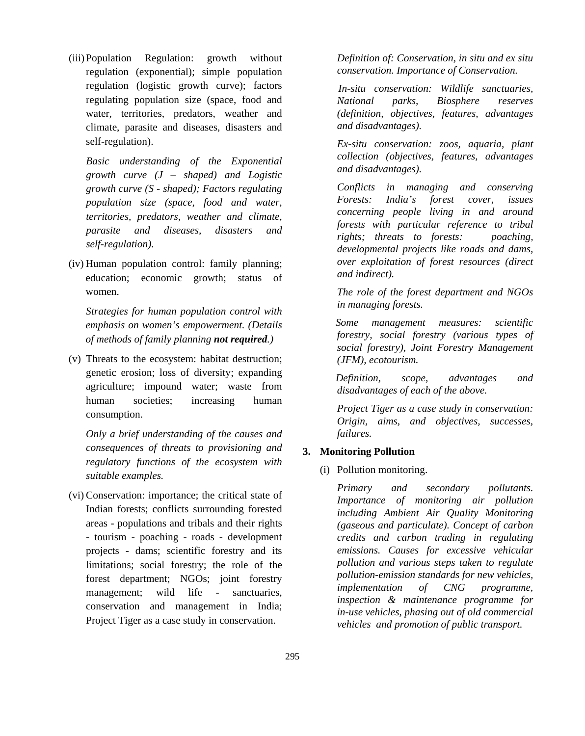(iii)Population Regulation: growth without regulation (exponential); simple population regulation (logistic growth curve); factors regulating population size (space, food and water, territories, predators, weather and climate, parasite and diseases, disasters and self-regulation).

*Basic understanding of the Exponential growth curve (J – shaped) and Logistic growth curve (S - shaped); Factors regulating population size (space, food and water, territories, predators, weather and climate, parasite and diseases, disasters and self-regulation).* 

(iv) Human population control: family planning; education; economic growth; status of women.

*Strategies for human population control with emphasis on women's empowerment. (Details of methods of family planning not required.)* 

(v) Threats to the ecosystem: habitat destruction; genetic erosion; loss of diversity; expanding agriculture; impound water; waste from human societies; increasing human consumption.

*Only a brief understanding of the causes and consequences of threats to provisioning and regulatory functions of the ecosystem with suitable examples.*

(vi) Conservation: importance; the critical state of Indian forests; conflicts surrounding forested areas - populations and tribals and their rights - tourism - poaching - roads - development projects - dams; scientific forestry and its limitations; social forestry; the role of the forest department; NGOs; joint forestry management; wild life - sanctuaries, conservation and management in India; Project Tiger as a case study in conservation.

*Definition of: Conservation, in situ and ex situ conservation. Importance of Conservation.*

 *In-situ conservation: Wildlife sanctuaries, National parks, Biosphere reserves (definition, objectives, features, advantages and disadvantages).*

*Ex-situ conservation: zoos, aquaria, plant collection (objectives, features, advantages and disadvantages).*

*Conflicts in managing and conserving Forests: India's forest cover, issues concerning people living in and around forests with particular reference to tribal rights; threats to forests: poaching, developmental projects like roads and dams, over exploitation of forest resources (direct and indirect).*

*The role of the forest department and NGOs in managing forests.*

 *Some management measures: scientific forestry, social forestry (various types of social forestry), Joint Forestry Management (JFM), ecotourism.* 

 *Definition, scope, advantages and disadvantages of each of the above.*

*Project Tiger as a case study in conservation: Origin, aims, and objectives, successes, failures.* 

#### **3. Monitoring Pollution**

(i) Pollution monitoring.

*Primary and secondary pollutants. Importance of monitoring air pollution including Ambient Air Quality Monitoring (gaseous and particulate). Concept of carbon credits and carbon trading in regulating emissions. Causes for excessive vehicular pollution and various steps taken to regulate pollution-emission standards for new vehicles, implementation of CNG programme, inspection & maintenance programme for in-use vehicles, phasing out of old commercial vehicles and promotion of public transport.*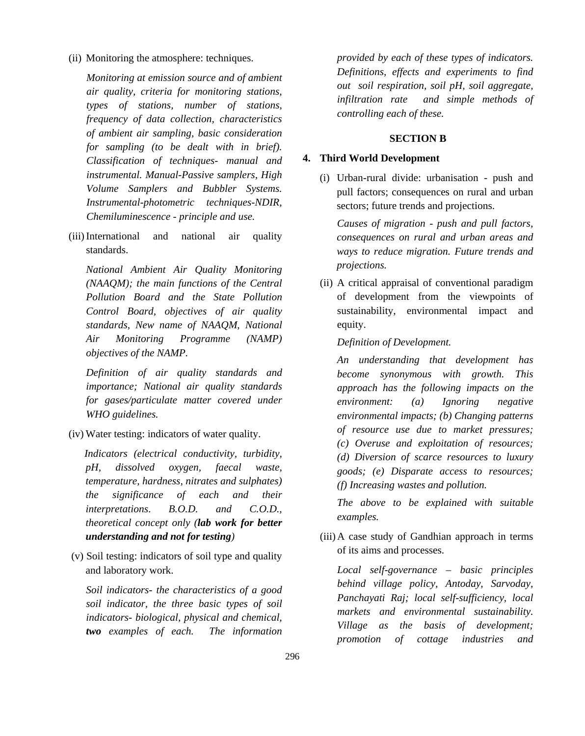(ii) Monitoring the atmosphere: techniques.

*Monitoring at emission source and of ambient air quality, criteria for monitoring stations, types of stations, number of stations, frequency of data collection, characteristics of ambient air sampling, basic consideration for sampling (to be dealt with in brief). Classification of techniques- manual and instrumental. Manual-Passive samplers, High Volume Samplers and Bubbler Systems. Instrumental-photometric techniques-NDIR, Chemiluminescence - principle and use.* 

(iii)International and national air quality standards.

*National Ambient Air Quality Monitoring (NAAQM); the main functions of the Central Pollution Board and the State Pollution Control Board, objectives of air quality standards, New name of NAAQM, National Air Monitoring Programme (NAMP) objectives of the NAMP.*

*Definition of air quality standards and importance; National air quality standards for gases/particulate matter covered under WHO guidelines.*

(iv) Water testing: indicators of water quality.

 *Indicators (electrical conductivity, turbidity, pH, dissolved oxygen, faecal waste, temperature, hardness, nitrates and sulphates) the significance of each and their interpretations*. *B.O.D. and C.O.D., theoretical concept only (lab work for better understanding and not for testing)* 

(v) Soil testing: indicators of soil type and quality and laboratory work.

*Soil indicators- the characteristics of a good soil indicator, the three basic types of soil indicators- biological, physical and chemical, two examples of each. The information*  *provided by each of these types of indicators. Definitions, effects and experiments to find out soil respiration, soil pH, soil aggregate, infiltration rate and simple methods of controlling each of these.*

#### **SECTION B**

#### **4. Third World Development**

(i) Urban-rural divide: urbanisation - push and pull factors; consequences on rural and urban sectors; future trends and projections.

*Causes of migration - push and pull factors, consequences on rural and urban areas and ways to reduce migration. Future trends and projections.*

(ii) A critical appraisal of conventional paradigm of development from the viewpoints of sustainability, environmental impact and equity.

#### *Definition of Development.*

*An understanding that development has become synonymous with growth. This approach has the following impacts on the environment: (a) Ignoring negative environmental impacts; (b) Changing patterns of resource use due to market pressures; (c) Overuse and exploitation of resources; (d) Diversion of scarce resources to luxury goods; (e) Disparate access to resources; (f) Increasing wastes and pollution.* 

*The above to be explained with suitable examples.*

(iii)A case study of Gandhian approach in terms of its aims and processes.

*Local self-governance – basic principles behind village policy, Antoday, Sarvoday, Panchayati Raj; local self-sufficiency, local markets and environmental sustainability. Village as the basis of development; promotion of cottage industries and*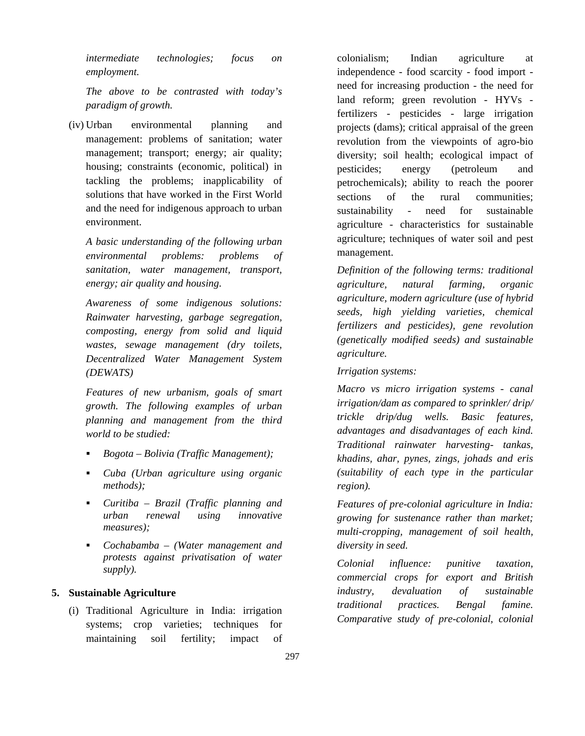*intermediate technologies; focus on employment.*

*The above to be contrasted with today's paradigm of growth.*

(iv) Urban environmental planning and management: problems of sanitation; water management; transport; energy; air quality; housing; constraints (economic, political) in tackling the problems; inapplicability of solutions that have worked in the First World and the need for indigenous approach to urban environment.

*A basic understanding of the following urban environmental problems: problems of sanitation, water management, transport, energy; air quality and housing.*

*Awareness of some indigenous solutions: Rainwater harvesting, garbage segregation, composting, energy from solid and liquid wastes, sewage management (dry toilets, Decentralized Water Management System (DEWATS)*

*Features of new urbanism, goals of smart growth. The following examples of urban planning and management from the third world to be studied:*

- *Bogota – Bolivia (Traffic Management);*
- *Cuba (Urban agriculture using organic methods);*
- *Curitiba – Brazil (Traffic planning and urban renewal using innovative measures);*
- *Cochabamba – (Water management and protests against privatisation of water supply).*

### **5. Sustainable Agriculture**

(i) Traditional Agriculture in India: irrigation systems; crop varieties; techniques for maintaining soil fertility; impact of colonialism; Indian agriculture at independence - food scarcity - food import need for increasing production - the need for land reform; green revolution - HYVs fertilizers - pesticides - large irrigation projects (dams); critical appraisal of the green revolution from the viewpoints of agro-bio diversity; soil health; ecological impact of pesticides; energy (petroleum and petrochemicals); ability to reach the poorer sections of the rural communities: sustainability - need for sustainable agriculture - characteristics for sustainable agriculture; techniques of water soil and pest management.

*Definition of the following terms: traditional agriculture, natural farming, organic agriculture, modern agriculture (use of hybrid seeds, high yielding varieties, chemical fertilizers and pesticides), gene revolution (genetically modified seeds) and sustainable agriculture.* 

*Irrigation systems:* 

*Macro vs micro irrigation systems - canal irrigation/dam as compared to sprinkler/ drip/ trickle drip/dug wells. Basic features, advantages and disadvantages of each kind. Traditional rainwater harvesting- tankas, khadins, ahar, pynes, zings, johads and eris (suitability of each type in the particular region).*

*Features of pre-colonial agriculture in India: growing for sustenance rather than market; multi-cropping, management of soil health, diversity in seed.*

*Colonial influence: punitive taxation, commercial crops for export and British industry, devaluation of sustainable traditional practices. Bengal famine. Comparative study of pre-colonial, colonial*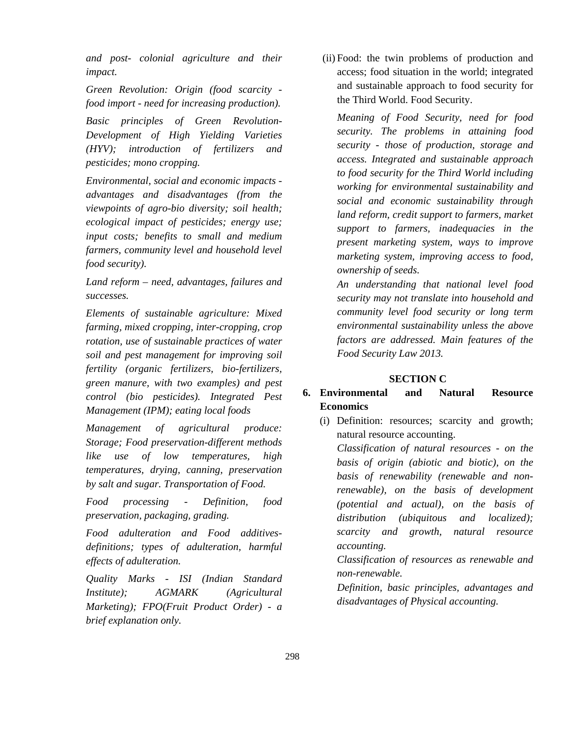*and post- colonial agriculture and their impact.* 

*Green Revolution: Origin (food scarcity food import - need for increasing production).*

*Basic principles of Green Revolution-Development of High Yielding Varieties (HYV); introduction of fertilizers and pesticides; mono cropping.*

*Environmental, social and economic impacts advantages and disadvantages (from the viewpoints of agro-bio diversity; soil health; ecological impact of pesticides; energy use; input costs; benefits to small and medium farmers, community level and household level food security).*

*Land reform – need, advantages, failures and successes.*

*Elements of sustainable agriculture: Mixed farming, mixed cropping, inter-cropping, crop rotation, use of sustainable practices of water soil and pest management for improving soil fertility (organic fertilizers, bio-fertilizers, green manure, with two examples) and pest control (bio pesticides). Integrated Pest Management (IPM); eating local foods*

*Management of agricultural produce: Storage; Food preservation-different methods like use of low temperatures, high temperatures, drying, canning, preservation by salt and sugar. Transportation of Food.*

*Food processing - Definition, food preservation, packaging, grading.*

*Food adulteration and Food additivesdefinitions; types of adulteration, harmful effects of adulteration.*

*Quality Marks - ISI (Indian Standard Institute); AGMARK (Agricultural Marketing); FPO(Fruit Product Order) - a brief explanation only.*

(ii) Food: the twin problems of production and access; food situation in the world; integrated and sustainable approach to food security for the Third World. Food Security.

*Meaning of Food Security, need for food security. The problems in attaining food security - those of production, storage and access. Integrated and sustainable approach to food security for the Third World including working for environmental sustainability and social and economic sustainability through land reform, credit support to farmers, market support to farmers, inadequacies in the present marketing system, ways to improve marketing system, improving access to food, ownership of seeds.* 

*An understanding that national level food security may not translate into household and community level food security or long term environmental sustainability unless the above factors are addressed. Main features of the Food Security Law 2013.*

#### **SECTION C**

# **6. Environmental and Natural Resource Economics**

(i) Definition: resources; scarcity and growth; natural resource accounting.

*Classification of natural resources - on the basis of origin (abiotic and biotic), on the basis of renewability (renewable and nonrenewable), on the basis of development (potential and actual), on the basis of distribution (ubiquitous and localized); scarcity and growth, natural resource accounting.*

*Classification of resources as renewable and non-renewable.*

*Definition, basic principles, advantages and disadvantages of Physical accounting.*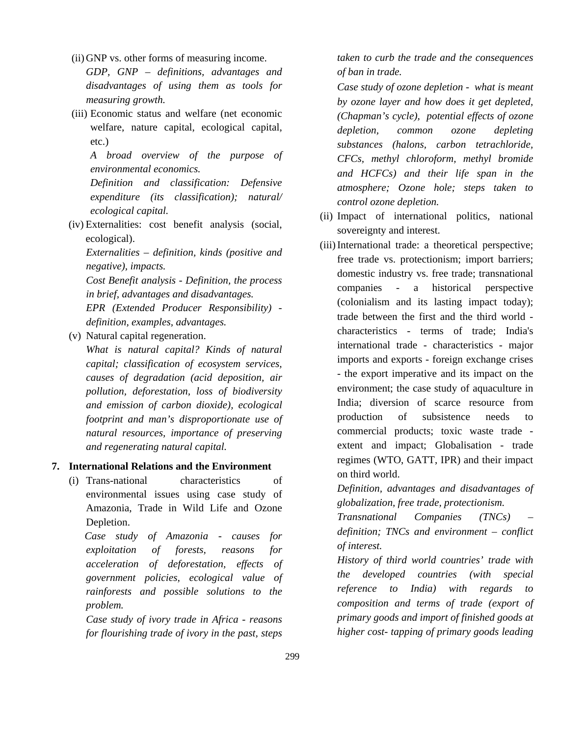- (ii) GNP vs. other forms of measuring income.
- *GDP, GNP – definitions, advantages and disadvantages of using them as tools for measuring growth.*
- (iii) Economic status and welfare (net economic welfare, nature capital, ecological capital, etc.)

*A broad overview of the purpose of environmental economics.*

*Definition and classification: Defensive expenditure (its classification); natural/ ecological capital.*

(iv) Externalities: cost benefit analysis (social, ecological).

*Externalities – definition, kinds (positive and negative), impacts.*

*Cost Benefit analysis - Definition, the process in brief, advantages and disadvantages.*

*EPR (Extended Producer Responsibility) definition, examples, advantages.*

(v) Natural capital regeneration.

*What is natural capital? Kinds of natural capital; classification of ecosystem services, causes of degradation (acid deposition, air pollution, deforestation, loss of biodiversity and emission of carbon dioxide), ecological footprint and man's disproportionate use of natural resources, importance of preserving and regenerating natural capital.*

# **7. International Relations and the Environment**

(i) Trans-national characteristics of environmental issues using case study of Amazonia, Trade in Wild Life and Ozone Depletion.

 *Case study of Amazonia - causes for exploitation of forests, reasons for acceleration of deforestation, effects of government policies, ecological value of rainforests and possible solutions to the problem.*

*Case study of ivory trade in Africa - reasons for flourishing trade of ivory in the past, steps* 

*taken to curb the trade and the consequences of ban in trade.*

*Case study of ozone depletion - what is meant by ozone layer and how does it get depleted, (Chapman's cycle), potential effects of ozone depletion, common ozone depleting substances (halons, carbon tetrachloride, CFCs, methyl chloroform, methyl bromide and HCFCs) and their life span in the atmosphere; Ozone hole; steps taken to control ozone depletion.*

- (ii) Impact of international politics, national sovereignty and interest.
- (iii)International trade: a theoretical perspective; free trade vs. protectionism; import barriers; domestic industry vs. free trade; transnational companies - a historical perspective (colonialism and its lasting impact today); trade between the first and the third world characteristics - terms of trade; India's international trade - characteristics - major imports and exports - foreign exchange crises - the export imperative and its impact on the environment; the case study of aquaculture in India; diversion of scarce resource from production of subsistence needs to commercial products; toxic waste trade extent and impact; Globalisation - trade regimes (WTO, GATT, IPR) and their impact on third world.

*Definition, advantages and disadvantages of globalization, free trade, protectionism.*

*Transnational Companies (TNCs) – definition; TNCs and environment – conflict of interest.*

*History of third world countries' trade with the developed countries (with special reference to India) with regards to composition and terms of trade (export of primary goods and import of finished goods at higher cost- tapping of primary goods leading*